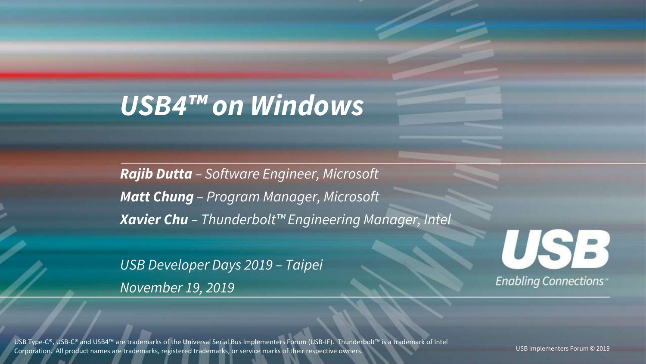# *USB4™ on Windows*

*Rajib Dutta – Software Engineer, Microsoft Matt Chung – Program Manager, Microsoft Xavier Chu – Thunderbolt™ Engineering Manager, Intel*

*USB Developer Days 2019 – Taipei November 19, 2019*



USB Type-C®, USB-C® and USB4™ are trademarks of the Universal Serial Bus Implementers Forum (USB-IF). Thunderbolt™ is a trademark of Intel Corporation. All product names are trademarks, registered trademarks, or service marks of their respective owners.

USB Implementers Forum © 2019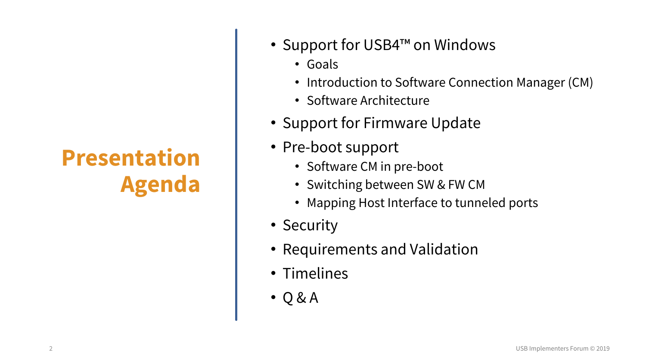- Support for USB4™ on Windows
	- Goals
	- Introduction to Software Connection Manager (CM)
	- Software Architecture
- Support for Firmware Update
- Pre-boot support
	- Software CM in pre-boot
	- Switching between SW & FW CM
	- Mapping Host Interface to tunneled ports
- Security
- Requirements and Validation
- Timelines
- Q & A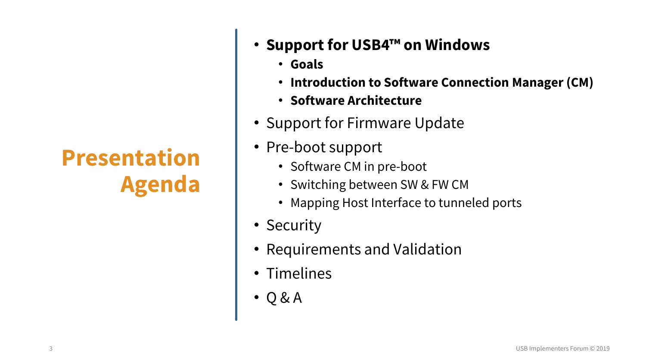- **Support for USB4™ on Windows**
	- **Goals**
	- **Introduction to Software Connection Manager (CM)**
	- **Software Architecture**
- Support for Firmware Update
- Pre-boot support
	- Software CM in pre-boot
	- Switching between SW & FW CM
	- Mapping Host Interface to tunneled ports
- Security
- Requirements and Validation
- Timelines
- Q & A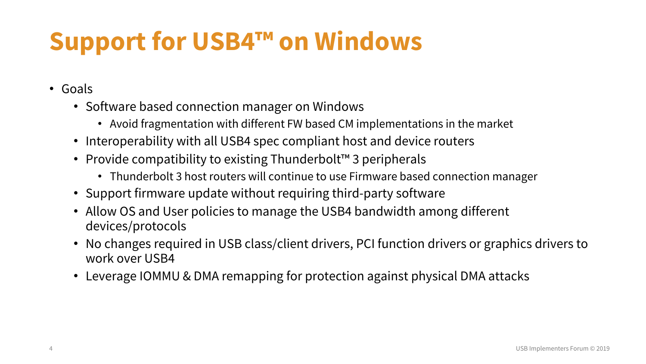# **Support for USB4™ on Windows**

- Goals
	- Software based connection manager on Windows
		- Avoid fragmentation with different FW based CM implementations in the market
	- Interoperability with all USB4 spec compliant host and device routers
	- Provide compatibility to existing Thunderbolt™ 3 peripherals
		- Thunderbolt 3 host routers will continue to use Firmware based connection manager
	- Support firmware update without requiring third-party software
	- Allow OS and User policies to manage the USB4 bandwidth among different devices/protocols
	- No changes required in USB class/client drivers, PCI function drivers or graphics drivers to work over USB4
	- Leverage IOMMU & DMA remapping for protection against physical DMA attacks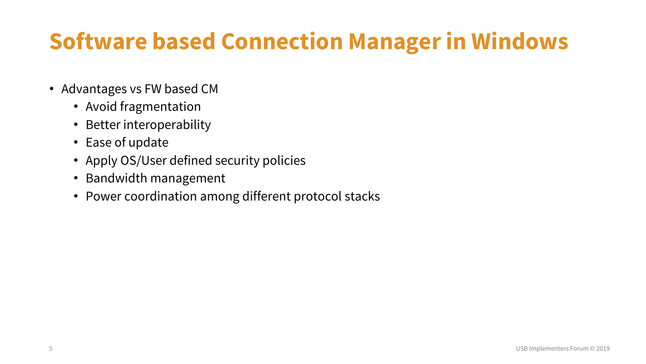#### **Software based Connection Manager in Windows**

- Advantages vs FW based CM
	- Avoid fragmentation
	- Better interoperability
	- Ease of update
	- Apply OS/User defined security policies
	- Bandwidth management
	- Power coordination among different protocol stacks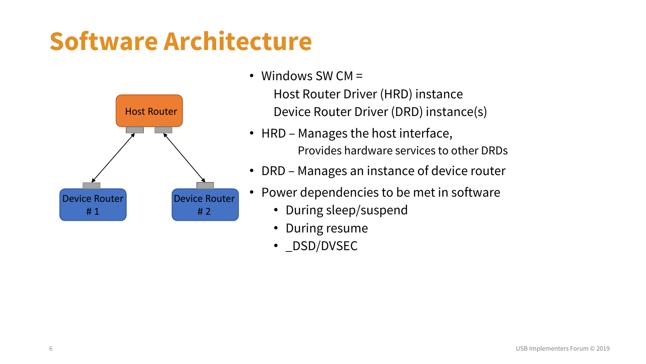# **Software Architecture**



- Windows SW CM = Host Router Driver (HRD) instance Device Router Driver (DRD) instance(s)
- HRD Manages the host interface, Provides hardware services to other DRDs
- DRD Manages an instance of device router
- Power dependencies to be met in software
	- During sleep/suspend
	- During resume
	- \_DSD/DVSEC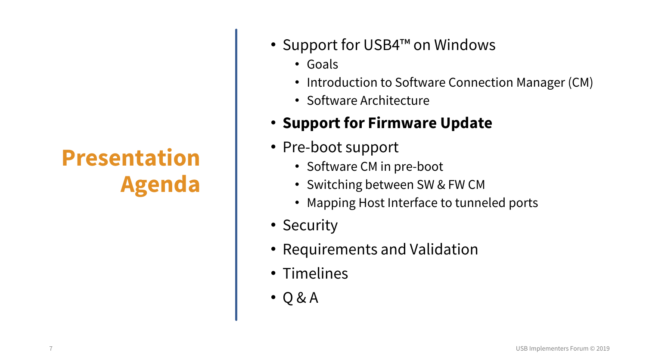- Support for USB4™ on Windows
	- Goals
	- Introduction to Software Connection Manager (CM)
	- Software Architecture

#### • **Support for Firmware Update**

- Pre-boot support
	- Software CM in pre-boot
	- Switching between SW & FW CM
	- Mapping Host Interface to tunneled ports
- Security
- Requirements and Validation
- Timelines
- Q & A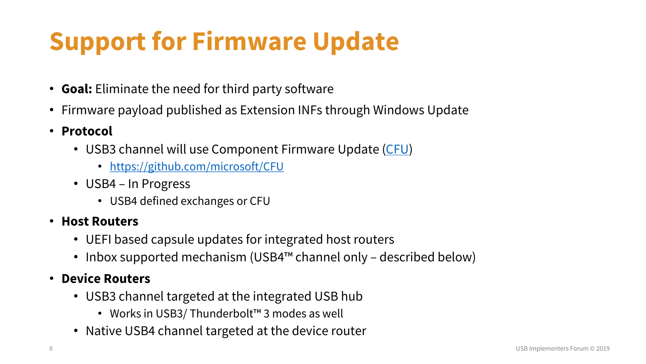# **Support for Firmware Update**

- **Goal:** Eliminate the need for third party software
- Firmware payload published as Extension INFs through Windows Update
- **Protocol**
	- USB3 channel will use Component Firmware Update [\(CFU\)](https://github.com/microsoft/CFU)
		- <https://github.com/microsoft/CFU>
	- USB4 In Progress
		- USB4 defined exchanges or CFU

#### • **Host Routers**

- UEFI based capsule updates for integrated host routers
- Inbox supported mechanism (USB4™ channel only described below)

#### • **Device Routers**

- USB3 channel targeted at the integrated USB hub
	- Works in USB3/ Thunderbolt™ 3 modes as well
- Native USB4 channel targeted at the device router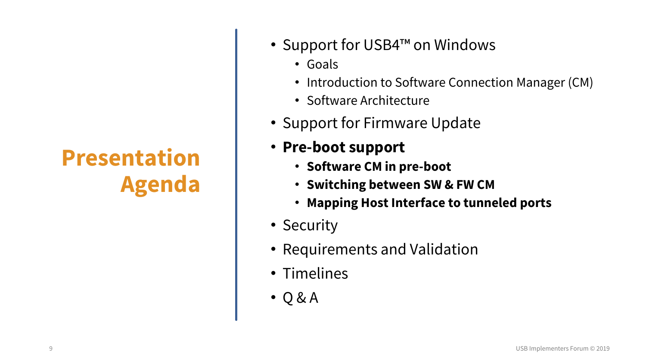- Support for USB4™ on Windows
	- Goals
	- Introduction to Software Connection Manager (CM)
	- Software Architecture
- Support for Firmware Update
- **Pre-boot support**
	- **Software CM in pre-boot**
	- **Switching between SW & FW CM**
	- **Mapping Host Interface to tunneled ports**
- Security
- Requirements and Validation
- Timelines
- Q & A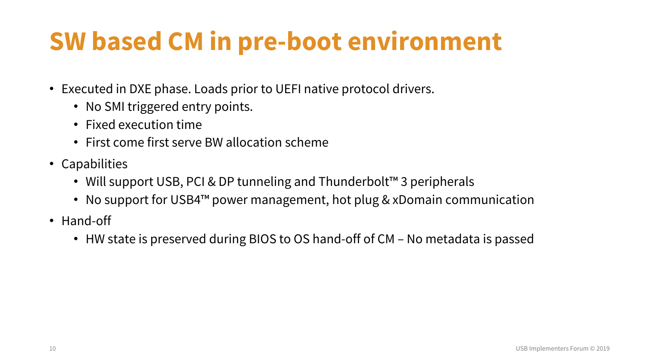# **SW based CM in pre-boot environment**

- Executed in DXE phase. Loads prior to UEFI native protocol drivers.
	- No SMI triggered entry points.
	- Fixed execution time
	- First come first serve BW allocation scheme
- Capabilities
	- Will support USB, PCI & DP tunneling and Thunderbolt™ 3 peripherals
	- No support for USB4™ power management, hot plug & xDomain communication
- Hand-off
	- HW state is preserved during BIOS to OS hand-off of CM No metadata is passed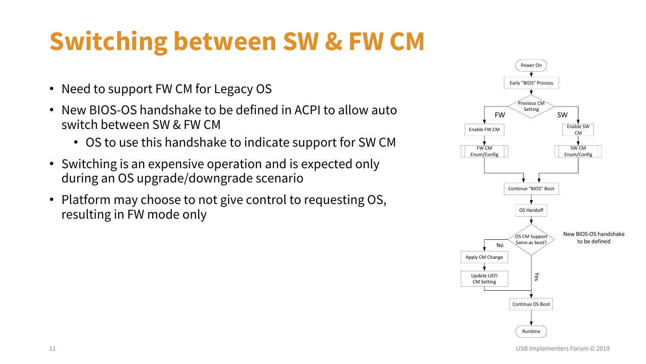# **Switching between SW & FW CM**

- Need to support FW CM for Legacy OS
- New BIOS-OS handshake to be defined in ACPI to allow auto switch between SW & FW CM
	- OS to use this handshake to indicate support for SW CM
- Switching is an expensive operation and is expected only during an OS upgrade/downgrade scenario
- Platform may choose to not give control to requesting OS, resulting in FW mode only

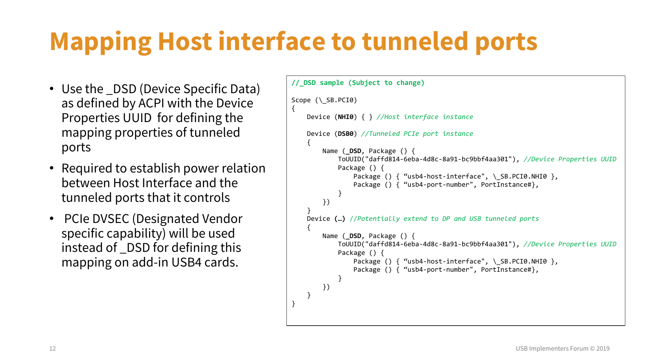# **Mapping Host interface to tunneled ports**

- Use the \_DSD (Device Specific Data) as defined by ACPI with the Device Properties UUID for defining the mapping properties of tunneled ports
- Required to establish power relation between Host Interface and the tunneled ports that it controls
- PCIe DVSEC (Designated Vendor specific capability) will be used instead of \_DSD for defining this mapping on add-in USB4 cards.

```
//_DSD sample (Subject to change)
Scope (\setminus SB.PCI0)
{
    Device (NHI0) { } //Host interface instance
    Device (DSB0) //Tunneled PCIe port instance
    {
        Name ( DSD, Package () {
            ToUUID("daffd814-6eba-4d8c-8a91-bc9bbf4aa301"), //Device Properties UUID 
            Package () {
                Package () { "usb4-host-interface", \ SB.PCI0.NHI0 },
                Package () { "usb4-port-number", PortInstance#},
             }
        })
    }
    Device (…) //Potentially extend to DP and USB tunneled ports 
    {
        Name ( DSD, Package () {
            ToUUID("daffd814-6eba-4d8c-8a91-bc9bbf4aa301"), //Device Properties UUID 
            Package () {
                Package () { "usb4-host-interface", \ SB.PCI0.NHI0 },
                Package () { "usb4-port-number", PortInstance#},
             }
        })
    }
}
```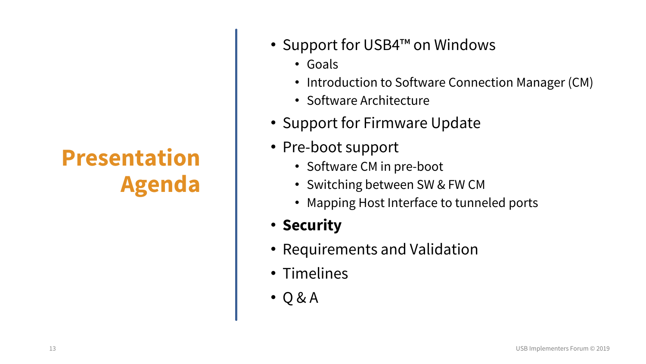- Support for USB4™ on Windows
	- Goals
	- Introduction to Software Connection Manager (CM)
	- Software Architecture
- Support for Firmware Update
- Pre-boot support
	- Software CM in pre-boot
	- Switching between SW & FW CM
	- Mapping Host Interface to tunneled ports
- **Security**
- Requirements and Validation
- Timelines
- Q & A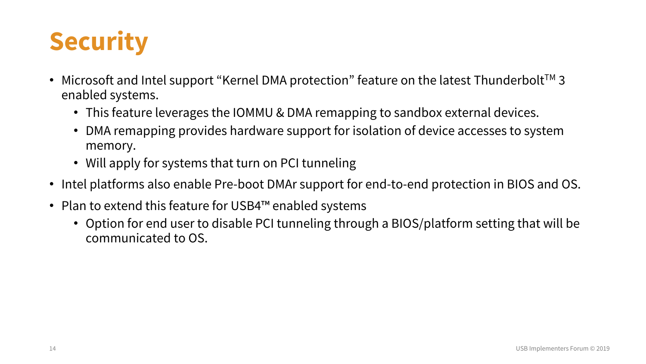

- Microsoft and Intel support "Kernel DMA protection" feature on the latest Thunderbolt<sup>™</sup> 3 enabled systems.
	- This feature leverages the IOMMU & DMA remapping to sandbox external devices.
	- DMA remapping provides hardware support for isolation of device accesses to system memory.
	- Will apply for systems that turn on PCI tunneling
- Intel platforms also enable Pre-boot DMAr support for end-to-end protection in BIOS and OS.
- Plan to extend this feature for USB4™ enabled systems
	- Option for end user to disable PCI tunneling through a BIOS/platform setting that will be communicated to OS.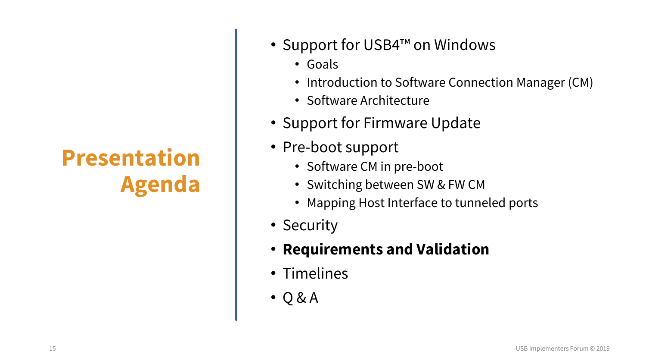- Support for USB4™ on Windows
	- Goals
	- Introduction to Software Connection Manager (CM)
	- Software Architecture
- Support for Firmware Update
- Pre-boot support
	- Software CM in pre-boot
	- Switching between SW & FW CM
	- Mapping Host Interface to tunneled ports
- Security
- **Requirements and Validation**
- Timelines
- Q & A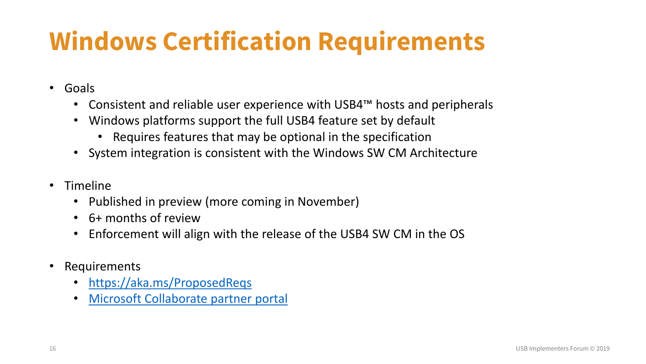# **Windows Certification Requirements**

- Goals
	- Consistent and reliable user experience with USB4™ hosts and peripherals
	- Windows platforms support the full USB4 feature set by default
		- Requires features that may be optional in the specification
	- System integration is consistent with the Windows SW CM Architecture
- Timeline
	- Published in preview (more coming in November)
	- 6+ months of review
	- Enforcement will align with the release of the USB4 SW CM in the OS
- Requirements
	- <https://aka.ms/ProposedReqs>
	- [Microsoft Collaborate partner portal](https://docs.microsoft.com/en-us/collaborate/)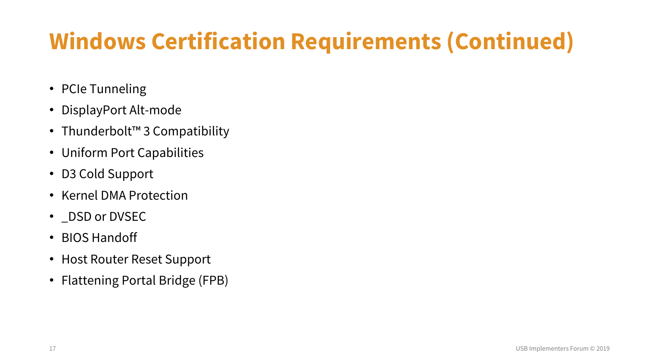# **Windows Certification Requirements (Continued)**

- PCIe Tunneling
- DisplayPort Alt-mode
- Thunderbolt™ 3 Compatibility
- Uniform Port Capabilities
- D3 Cold Support
- Kernel DMA Protection
- \_DSD or DVSEC
- BIOS Handoff
- Host Router Reset Support
- Flattening Portal Bridge (FPB)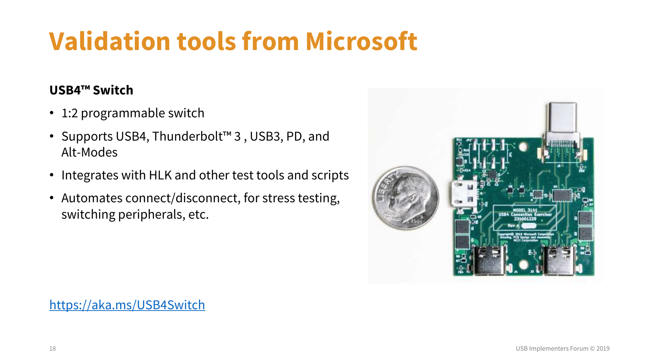# **Validation tools from Microsoft**

#### **USB4™ Switch**

- 1:2 programmable switch
- Supports USB4, Thunderbolt™ 3 , USB3, PD, and Alt-Modes
- Integrates with HLK and other test tools and scripts
- Automates connect/disconnect, for stress testing, switching peripherals, etc.



<https://aka.ms/USB4Switch>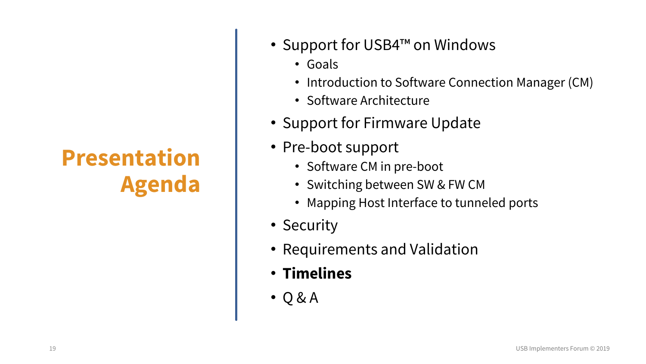- Support for USB4™ on Windows
	- Goals
	- Introduction to Software Connection Manager (CM)
	- Software Architecture
- Support for Firmware Update
- Pre-boot support
	- Software CM in pre-boot
	- Switching between SW & FW CM
	- Mapping Host Interface to tunneled ports
- Security
- Requirements and Validation
- **Timelines**
- Q & A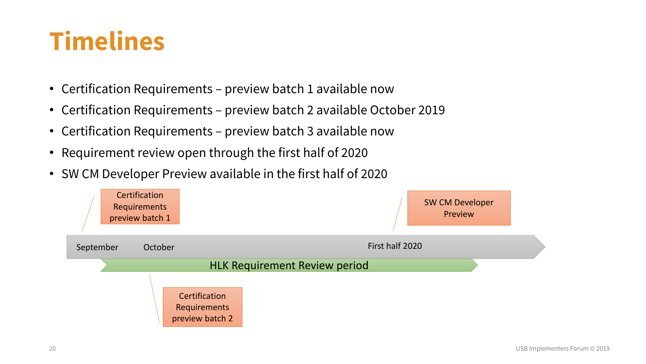# **Timelines**

- Certification Requirements preview batch 1 available now
- Certification Requirements preview batch 2 available October 2019
- Certification Requirements preview batch 3 available now
- Requirement review open through the first half of 2020
- SW CM Developer Preview available in the first half of 2020